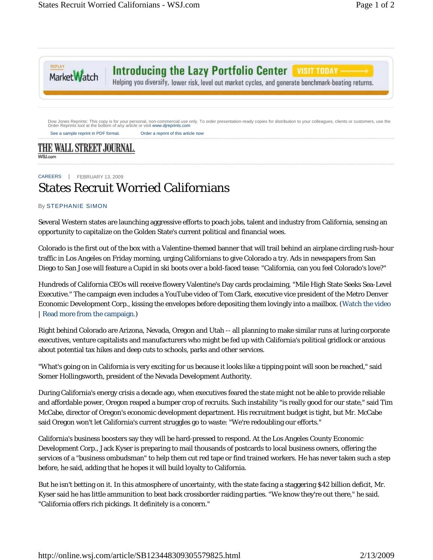**MarketWatch** 

**Introducing the Lazy Portfolio Center VISIT TODAY -**

Helping you diversify, lower risk, level out market cycles, and generate benchmark-beating returns.

Dow Jones Reprints: This copy is for your personal, non-commercial use only. To order presentation-ready copies for distribution to your colleagues, clients or customers, use the Order Reprints tool at the bottom of any article or visit www.djreprints.com

See a sample reprint in PDF format. Order a reprint of this article now

## THE WALL STREET JOURNAL.

WSJ.com

CAREERS | FEBRUARY 13, 2009

## States Recruit Worried Californians

## By STEPHANIE SIMON

Several Western states are launching aggressive efforts to poach jobs, talent and industry from California, sensing an opportunity to capitalize on the Golden State's current political and financial woes.

Colorado is the first out of the box with a Valentine-themed banner that will trail behind an airplane circling rush-hour traffic in Los Angeles on Friday morning, urging Californians to give Colorado a try. Ads in newspapers from San Diego to San Jose will feature a Cupid in ski boots over a bold-faced tease: "California, can you feel Colorado's love?"

Hundreds of California CEOs will receive flowery Valentine's Day cards proclaiming, "Mile High State Seeks Sea-Level Executive." The campaign even includes a YouTube video of Tom Clark, executive vice president of the Metro Denver Economic Development Corp., kissing the envelopes before depositing them lovingly into a mailbox. (Watch the video | Read more from the campaign.)

Right behind Colorado are Arizona, Nevada, Oregon and Utah -- all planning to make similar runs at luring corporate executives, venture capitalists and manufacturers who might be fed up with California's political gridlock or anxious about potential tax hikes and deep cuts to schools, parks and other services.

"What's going on in California is very exciting for us because it looks like a tipping point will soon be reached," said Somer Hollingsworth, president of the Nevada Development Authority.

During California's energy crisis a decade ago, when executives feared the state might not be able to provide reliable and affordable power, Oregon reaped a bumper crop of recruits. Such instability "is really good for our state," said Tim McCabe, director of Oregon's economic development department. His recruitment budget is tight, but Mr. McCabe said Oregon won't let California's current struggles go to waste: "We're redoubling our efforts."

California's business boosters say they will be hard-pressed to respond. At the Los Angeles County Economic Development Corp., Jack Kyser is preparing to mail thousands of postcards to local business owners, offering the services of a "business ombudsman" to help them cut red tape or find trained workers. He has never taken such a step before, he said, adding that he hopes it will build loyalty to California.

But he isn't betting on it. In this atmosphere of uncertainty, with the state facing a staggering \$42 billion deficit, Mr. Kyser said he has little ammunition to beat back crossborder raiding parties. "We know they're out there," he said. "California offers rich pickings. It definitely is a concern."